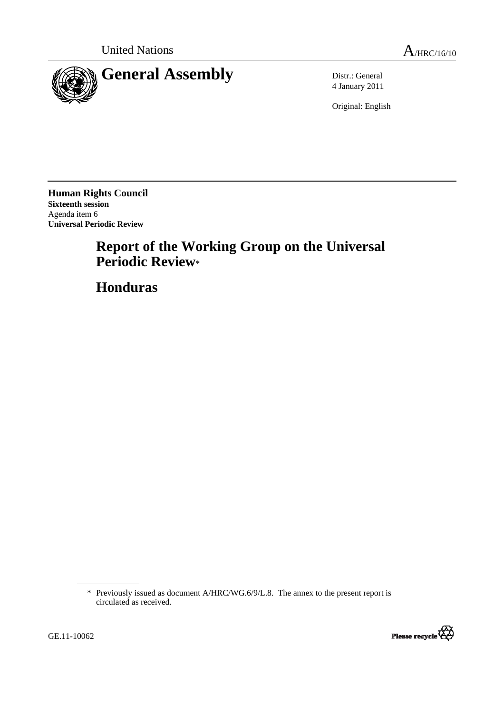

4 January 2011

Original: English

**Human Rights Council Sixteenth session**  Agenda item 6 **Universal Periodic Review** 

# **Report of the Working Group on the Universal Periodic Review**\*

 **Honduras** 

<sup>\*</sup> Previously issued as document A/HRC/WG.6/9/L.8. The annex to the present report is circulated as received.

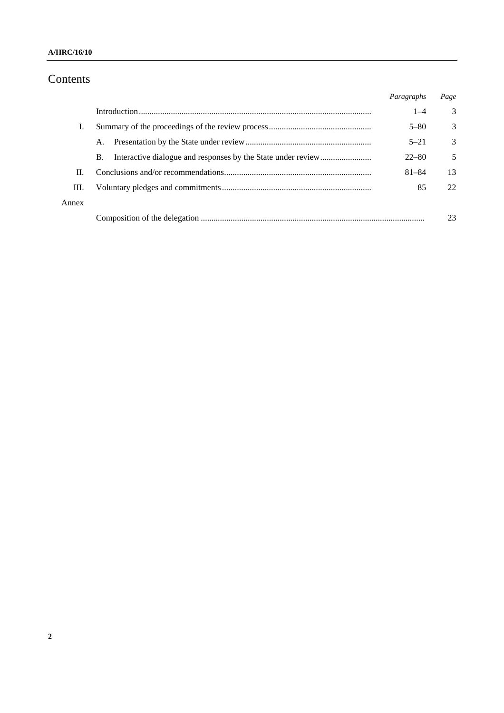### **A/HRC/16/10**

## Contents

|       |    | Paragraphs | Page |
|-------|----|------------|------|
|       |    | $1 - 4$    | 3    |
|       |    | $5 - 80$   | 3    |
|       | A. | $5 - 21$   | 3    |
|       | В. | $22 - 80$  | 5    |
| H.    |    | $81 - 84$  | 13   |
| Ш.    |    | 85         | 22   |
| Annex |    |            |      |
|       |    |            |      |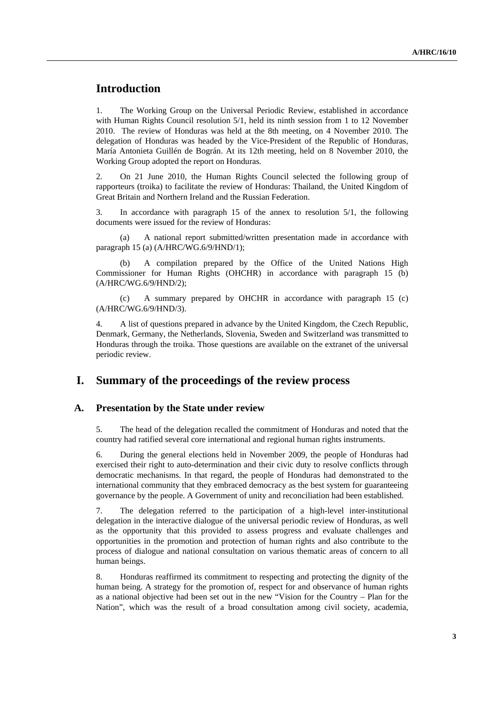## **Introduction**

1. The Working Group on the Universal Periodic Review, established in accordance with Human Rights Council resolution 5/1, held its ninth session from 1 to 12 November 2010. The review of Honduras was held at the 8th meeting, on 4 November 2010. The delegation of Honduras was headed by the Vice-President of the Republic of Honduras, María Antonieta Guillén de Bográn. At its 12th meeting, held on 8 November 2010, the Working Group adopted the report on Honduras.

2. On 21 June 2010, the Human Rights Council selected the following group of rapporteurs (troika) to facilitate the review of Honduras: Thailand, the United Kingdom of Great Britain and Northern Ireland and the Russian Federation.

3. In accordance with paragraph 15 of the annex to resolution 5/1, the following documents were issued for the review of Honduras:

 (a) A national report submitted/written presentation made in accordance with paragraph 15 (a) (A/HRC/WG.6/9/HND/1);

A compilation prepared by the Office of the United Nations High Commissioner for Human Rights (OHCHR) in accordance with paragraph 15 (b) (A/HRC/WG.6/9/HND/2);

 (c) A summary prepared by OHCHR in accordance with paragraph 15 (c) (A/HRC/WG.6/9/HND/3).

4. A list of questions prepared in advance by the United Kingdom, the Czech Republic, Denmark, Germany, the Netherlands, Slovenia, Sweden and Switzerland was transmitted to Honduras through the troika. Those questions are available on the extranet of the universal periodic review.

## **I. Summary of the proceedings of the review process**

#### **A. Presentation by the State under review**

5. The head of the delegation recalled the commitment of Honduras and noted that the country had ratified several core international and regional human rights instruments.

6. During the general elections held in November 2009, the people of Honduras had exercised their right to auto-determination and their civic duty to resolve conflicts through democratic mechanisms. In that regard, the people of Honduras had demonstrated to the international community that they embraced democracy as the best system for guaranteeing governance by the people. A Government of unity and reconciliation had been established.

7. The delegation referred to the participation of a high-level inter-institutional delegation in the interactive dialogue of the universal periodic review of Honduras, as well as the opportunity that this provided to assess progress and evaluate challenges and opportunities in the promotion and protection of human rights and also contribute to the process of dialogue and national consultation on various thematic areas of concern to all human beings.

8. Honduras reaffirmed its commitment to respecting and protecting the dignity of the human being. A strategy for the promotion of, respect for and observance of human rights as a national objective had been set out in the new "Vision for the Country – Plan for the Nation", which was the result of a broad consultation among civil society, academia,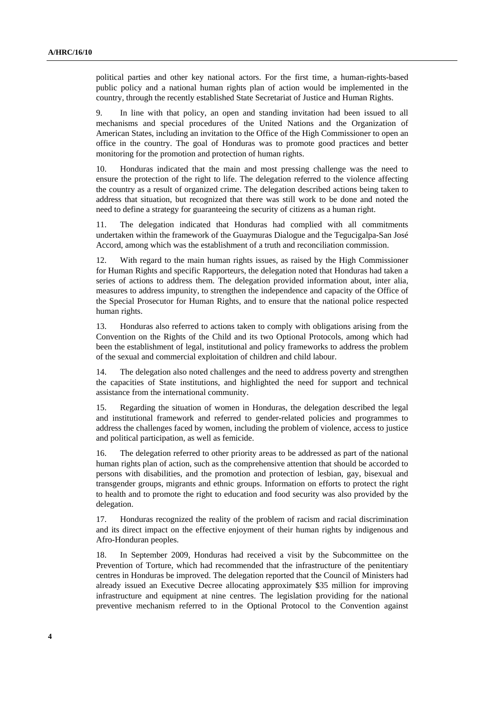political parties and other key national actors. For the first time, a human-rights-based public policy and a national human rights plan of action would be implemented in the country, through the recently established State Secretariat of Justice and Human Rights.

9. In line with that policy, an open and standing invitation had been issued to all mechanisms and special procedures of the United Nations and the Organization of American States, including an invitation to the Office of the High Commissioner to open an office in the country. The goal of Honduras was to promote good practices and better monitoring for the promotion and protection of human rights.

10. Honduras indicated that the main and most pressing challenge was the need to ensure the protection of the right to life. The delegation referred to the violence affecting the country as a result of organized crime. The delegation described actions being taken to address that situation, but recognized that there was still work to be done and noted the need to define a strategy for guaranteeing the security of citizens as a human right.

11. The delegation indicated that Honduras had complied with all commitments undertaken within the framework of the Guaymuras Dialogue and the Tegucigalpa-San José Accord, among which was the establishment of a truth and reconciliation commission.

12. With regard to the main human rights issues, as raised by the High Commissioner for Human Rights and specific Rapporteurs, the delegation noted that Honduras had taken a series of actions to address them. The delegation provided information about, inter alia, measures to address impunity, to strengthen the independence and capacity of the Office of the Special Prosecutor for Human Rights, and to ensure that the national police respected human rights.

13. Honduras also referred to actions taken to comply with obligations arising from the Convention on the Rights of the Child and its two Optional Protocols, among which had been the establishment of legal, institutional and policy frameworks to address the problem of the sexual and commercial exploitation of children and child labour.

14. The delegation also noted challenges and the need to address poverty and strengthen the capacities of State institutions, and highlighted the need for support and technical assistance from the international community.

15. Regarding the situation of women in Honduras, the delegation described the legal and institutional framework and referred to gender-related policies and programmes to address the challenges faced by women, including the problem of violence, access to justice and political participation, as well as femicide.

16. The delegation referred to other priority areas to be addressed as part of the national human rights plan of action, such as the comprehensive attention that should be accorded to persons with disabilities, and the promotion and protection of lesbian, gay, bisexual and transgender groups, migrants and ethnic groups. Information on efforts to protect the right to health and to promote the right to education and food security was also provided by the delegation.

17. Honduras recognized the reality of the problem of racism and racial discrimination and its direct impact on the effective enjoyment of their human rights by indigenous and Afro-Honduran peoples.

18. In September 2009, Honduras had received a visit by the Subcommittee on the Prevention of Torture, which had recommended that the infrastructure of the penitentiary centres in Honduras be improved. The delegation reported that the Council of Ministers had already issued an Executive Decree allocating approximately \$35 million for improving infrastructure and equipment at nine centres. The legislation providing for the national preventive mechanism referred to in the Optional Protocol to the Convention against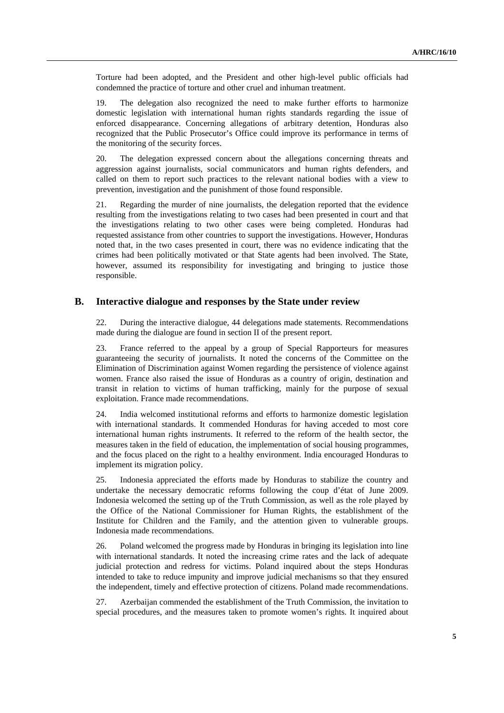Torture had been adopted, and the President and other high-level public officials had condemned the practice of torture and other cruel and inhuman treatment.

19. The delegation also recognized the need to make further efforts to harmonize domestic legislation with international human rights standards regarding the issue of enforced disappearance. Concerning allegations of arbitrary detention, Honduras also recognized that the Public Prosecutor's Office could improve its performance in terms of the monitoring of the security forces.

20. The delegation expressed concern about the allegations concerning threats and aggression against journalists, social communicators and human rights defenders, and called on them to report such practices to the relevant national bodies with a view to prevention, investigation and the punishment of those found responsible.

21. Regarding the murder of nine journalists, the delegation reported that the evidence resulting from the investigations relating to two cases had been presented in court and that the investigations relating to two other cases were being completed. Honduras had requested assistance from other countries to support the investigations. However, Honduras noted that, in the two cases presented in court, there was no evidence indicating that the crimes had been politically motivated or that State agents had been involved. The State, however, assumed its responsibility for investigating and bringing to justice those responsible.

#### **B. Interactive dialogue and responses by the State under review**

22. During the interactive dialogue, 44 delegations made statements. Recommendations made during the dialogue are found in section II of the present report.

23. France referred to the appeal by a group of Special Rapporteurs for measures guaranteeing the security of journalists. It noted the concerns of the Committee on the Elimination of Discrimination against Women regarding the persistence of violence against women. France also raised the issue of Honduras as a country of origin, destination and transit in relation to victims of human trafficking, mainly for the purpose of sexual exploitation. France made recommendations.

24. India welcomed institutional reforms and efforts to harmonize domestic legislation with international standards. It commended Honduras for having acceded to most core international human rights instruments. It referred to the reform of the health sector, the measures taken in the field of education, the implementation of social housing programmes, and the focus placed on the right to a healthy environment. India encouraged Honduras to implement its migration policy.

25. Indonesia appreciated the efforts made by Honduras to stabilize the country and undertake the necessary democratic reforms following the coup d'état of June 2009. Indonesia welcomed the setting up of the Truth Commission, as well as the role played by the Office of the National Commissioner for Human Rights, the establishment of the Institute for Children and the Family, and the attention given to vulnerable groups. Indonesia made recommendations.

26. Poland welcomed the progress made by Honduras in bringing its legislation into line with international standards. It noted the increasing crime rates and the lack of adequate judicial protection and redress for victims. Poland inquired about the steps Honduras intended to take to reduce impunity and improve judicial mechanisms so that they ensured the independent, timely and effective protection of citizens. Poland made recommendations.

27. Azerbaijan commended the establishment of the Truth Commission, the invitation to special procedures, and the measures taken to promote women's rights. It inquired about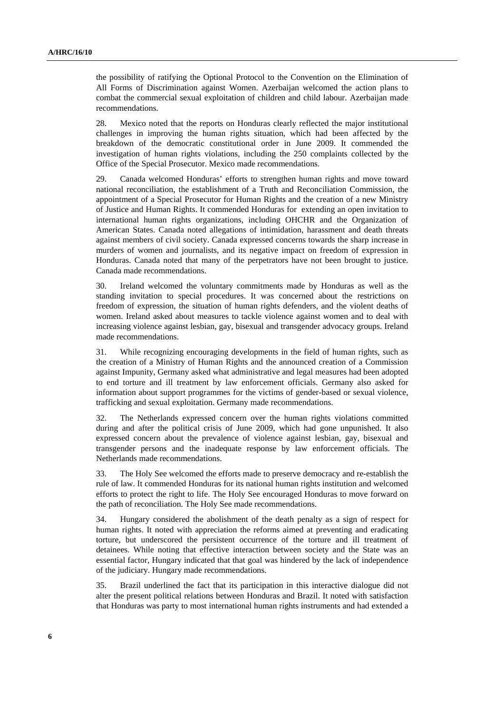the possibility of ratifying the Optional Protocol to the Convention on the Elimination of All Forms of Discrimination against Women. Azerbaijan welcomed the action plans to combat the commercial sexual exploitation of children and child labour. Azerbaijan made recommendations.

28. Mexico noted that the reports on Honduras clearly reflected the major institutional challenges in improving the human rights situation, which had been affected by the breakdown of the democratic constitutional order in June 2009. It commended the investigation of human rights violations, including the 250 complaints collected by the Office of the Special Prosecutor. Mexico made recommendations.

29. Canada welcomed Honduras' efforts to strengthen human rights and move toward national reconciliation, the establishment of a Truth and Reconciliation Commission, the appointment of a Special Prosecutor for Human Rights and the creation of a new Ministry of Justice and Human Rights. It commended Honduras for extending an open invitation to international human rights organizations, including OHCHR and the Organization of American States. Canada noted allegations of intimidation, harassment and death threats against members of civil society. Canada expressed concerns towards the sharp increase in murders of women and journalists, and its negative impact on freedom of expression in Honduras. Canada noted that many of the perpetrators have not been brought to justice. Canada made recommendations.

30. Ireland welcomed the voluntary commitments made by Honduras as well as the standing invitation to special procedures. It was concerned about the restrictions on freedom of expression, the situation of human rights defenders, and the violent deaths of women. Ireland asked about measures to tackle violence against women and to deal with increasing violence against lesbian, gay, bisexual and transgender advocacy groups. Ireland made recommendations.

31. While recognizing encouraging developments in the field of human rights, such as the creation of a Ministry of Human Rights and the announced creation of a Commission against Impunity, Germany asked what administrative and legal measures had been adopted to end torture and ill treatment by law enforcement officials. Germany also asked for information about support programmes for the victims of gender-based or sexual violence, trafficking and sexual exploitation. Germany made recommendations.

32. The Netherlands expressed concern over the human rights violations committed during and after the political crisis of June 2009, which had gone unpunished. It also expressed concern about the prevalence of violence against lesbian, gay, bisexual and transgender persons and the inadequate response by law enforcement officials. The Netherlands made recommendations.

33. The Holy See welcomed the efforts made to preserve democracy and re-establish the rule of law. It commended Honduras for its national human rights institution and welcomed efforts to protect the right to life. The Holy See encouraged Honduras to move forward on the path of reconciliation. The Holy See made recommendations.

34. Hungary considered the abolishment of the death penalty as a sign of respect for human rights. It noted with appreciation the reforms aimed at preventing and eradicating torture, but underscored the persistent occurrence of the torture and ill treatment of detainees. While noting that effective interaction between society and the State was an essential factor, Hungary indicated that that goal was hindered by the lack of independence of the judiciary. Hungary made recommendations.

35. Brazil underlined the fact that its participation in this interactive dialogue did not alter the present political relations between Honduras and Brazil. It noted with satisfaction that Honduras was party to most international human rights instruments and had extended a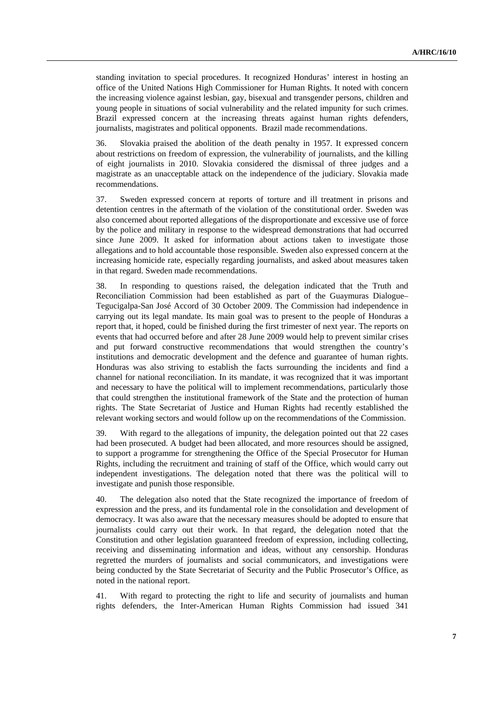standing invitation to special procedures. It recognized Honduras' interest in hosting an office of the United Nations High Commissioner for Human Rights. It noted with concern the increasing violence against lesbian, gay, bisexual and transgender persons, children and young people in situations of social vulnerability and the related impunity for such crimes. Brazil expressed concern at the increasing threats against human rights defenders, journalists, magistrates and political opponents. Brazil made recommendations.

36. Slovakia praised the abolition of the death penalty in 1957. It expressed concern about restrictions on freedom of expression, the vulnerability of journalists, and the killing of eight journalists in 2010. Slovakia considered the dismissal of three judges and a magistrate as an unacceptable attack on the independence of the judiciary. Slovakia made recommendations.

37. Sweden expressed concern at reports of torture and ill treatment in prisons and detention centres in the aftermath of the violation of the constitutional order. Sweden was also concerned about reported allegations of the disproportionate and excessive use of force by the police and military in response to the widespread demonstrations that had occurred since June 2009. It asked for information about actions taken to investigate those allegations and to hold accountable those responsible. Sweden also expressed concern at the increasing homicide rate, especially regarding journalists, and asked about measures taken in that regard. Sweden made recommendations.

38. In responding to questions raised, the delegation indicated that the Truth and Reconciliation Commission had been established as part of the Guaymuras Dialogue– Tegucigalpa-San José Accord of 30 October 2009. The Commission had independence in carrying out its legal mandate. Its main goal was to present to the people of Honduras a report that, it hoped, could be finished during the first trimester of next year. The reports on events that had occurred before and after 28 June 2009 would help to prevent similar crises and put forward constructive recommendations that would strengthen the country's institutions and democratic development and the defence and guarantee of human rights. Honduras was also striving to establish the facts surrounding the incidents and find a channel for national reconciliation. In its mandate, it was recognized that it was important and necessary to have the political will to implement recommendations, particularly those that could strengthen the institutional framework of the State and the protection of human rights. The State Secretariat of Justice and Human Rights had recently established the relevant working sectors and would follow up on the recommendations of the Commission.

39. With regard to the allegations of impunity, the delegation pointed out that 22 cases had been prosecuted. A budget had been allocated, and more resources should be assigned, to support a programme for strengthening the Office of the Special Prosecutor for Human Rights, including the recruitment and training of staff of the Office, which would carry out independent investigations. The delegation noted that there was the political will to investigate and punish those responsible.

40. The delegation also noted that the State recognized the importance of freedom of expression and the press, and its fundamental role in the consolidation and development of democracy. It was also aware that the necessary measures should be adopted to ensure that journalists could carry out their work. In that regard, the delegation noted that the Constitution and other legislation guaranteed freedom of expression, including collecting, receiving and disseminating information and ideas, without any censorship. Honduras regretted the murders of journalists and social communicators, and investigations were being conducted by the State Secretariat of Security and the Public Prosecutor's Office, as noted in the national report.

41. With regard to protecting the right to life and security of journalists and human rights defenders, the Inter-American Human Rights Commission had issued 341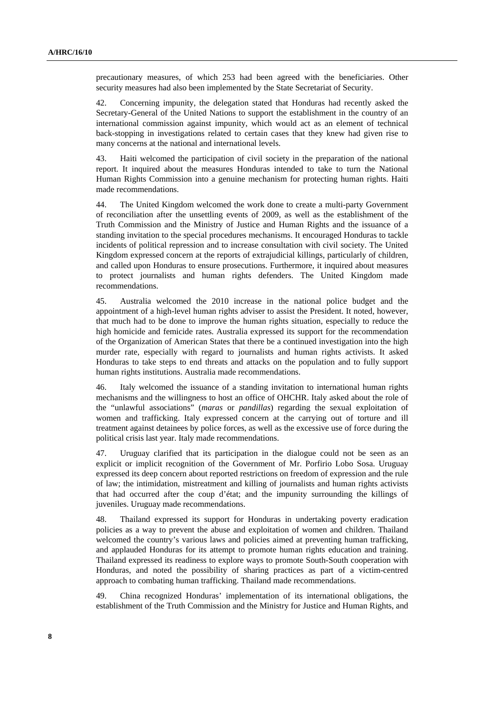precautionary measures, of which 253 had been agreed with the beneficiaries. Other security measures had also been implemented by the State Secretariat of Security.

42. Concerning impunity, the delegation stated that Honduras had recently asked the Secretary-General of the United Nations to support the establishment in the country of an international commission against impunity, which would act as an element of technical back-stopping in investigations related to certain cases that they knew had given rise to many concerns at the national and international levels.

43. Haiti welcomed the participation of civil society in the preparation of the national report. It inquired about the measures Honduras intended to take to turn the National Human Rights Commission into a genuine mechanism for protecting human rights. Haiti made recommendations.

44. The United Kingdom welcomed the work done to create a multi-party Government of reconciliation after the unsettling events of 2009, as well as the establishment of the Truth Commission and the Ministry of Justice and Human Rights and the issuance of a standing invitation to the special procedures mechanisms. It encouraged Honduras to tackle incidents of political repression and to increase consultation with civil society. The United Kingdom expressed concern at the reports of extrajudicial killings, particularly of children, and called upon Honduras to ensure prosecutions. Furthermore, it inquired about measures to protect journalists and human rights defenders. The United Kingdom made recommendations.

45. Australia welcomed the 2010 increase in the national police budget and the appointment of a high-level human rights adviser to assist the President. It noted, however, that much had to be done to improve the human rights situation, especially to reduce the high homicide and femicide rates. Australia expressed its support for the recommendation of the Organization of American States that there be a continued investigation into the high murder rate, especially with regard to journalists and human rights activists. It asked Honduras to take steps to end threats and attacks on the population and to fully support human rights institutions. Australia made recommendations.

46. Italy welcomed the issuance of a standing invitation to international human rights mechanisms and the willingness to host an office of OHCHR. Italy asked about the role of the "unlawful associations" (*maras* or *pandillas*) regarding the sexual exploitation of women and trafficking. Italy expressed concern at the carrying out of torture and ill treatment against detainees by police forces, as well as the excessive use of force during the political crisis last year. Italy made recommendations.

47. Uruguay clarified that its participation in the dialogue could not be seen as an explicit or implicit recognition of the Government of Mr. Porfirio Lobo Sosa. Uruguay expressed its deep concern about reported restrictions on freedom of expression and the rule of law; the intimidation, mistreatment and killing of journalists and human rights activists that had occurred after the coup d'état; and the impunity surrounding the killings of juveniles. Uruguay made recommendations.

48. Thailand expressed its support for Honduras in undertaking poverty eradication policies as a way to prevent the abuse and exploitation of women and children. Thailand welcomed the country's various laws and policies aimed at preventing human trafficking, and applauded Honduras for its attempt to promote human rights education and training. Thailand expressed its readiness to explore ways to promote South-South cooperation with Honduras, and noted the possibility of sharing practices as part of a victim-centred approach to combating human trafficking. Thailand made recommendations.

49. China recognized Honduras' implementation of its international obligations, the establishment of the Truth Commission and the Ministry for Justice and Human Rights, and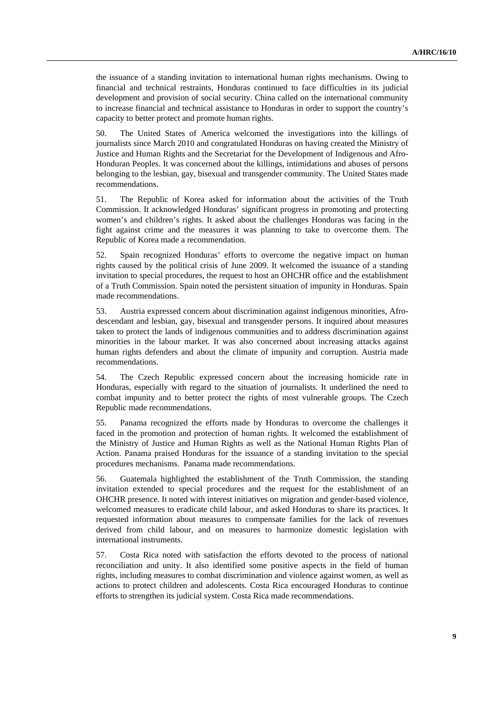the issuance of a standing invitation to international human rights mechanisms. Owing to financial and technical restraints, Honduras continued to face difficulties in its judicial development and provision of social security. China called on the international community to increase financial and technical assistance to Honduras in order to support the country's capacity to better protect and promote human rights.

50. The United States of America welcomed the investigations into the killings of journalists since March 2010 and congratulated Honduras on having created the Ministry of Justice and Human Rights and the Secretariat for the Development of Indigenous and Afro-Honduran Peoples. It was concerned about the killings, intimidations and abuses of persons belonging to the lesbian, gay, bisexual and transgender community. The United States made recommendations.

51. The Republic of Korea asked for information about the activities of the Truth Commission. It acknowledged Honduras' significant progress in promoting and protecting women's and children's rights. It asked about the challenges Honduras was facing in the fight against crime and the measures it was planning to take to overcome them. The Republic of Korea made a recommendation.

52. Spain recognized Honduras' efforts to overcome the negative impact on human rights caused by the political crisis of June 2009. It welcomed the issuance of a standing invitation to special procedures, the request to host an OHCHR office and the establishment of a Truth Commission. Spain noted the persistent situation of impunity in Honduras. Spain made recommendations.

53. Austria expressed concern about discrimination against indigenous minorities, Afrodescendant and lesbian, gay, bisexual and transgender persons. It inquired about measures taken to protect the lands of indigenous communities and to address discrimination against minorities in the labour market. It was also concerned about increasing attacks against human rights defenders and about the climate of impunity and corruption. Austria made recommendations.

54. The Czech Republic expressed concern about the increasing homicide rate in Honduras, especially with regard to the situation of journalists. It underlined the need to combat impunity and to better protect the rights of most vulnerable groups. The Czech Republic made recommendations.

55. Panama recognized the efforts made by Honduras to overcome the challenges it faced in the promotion and protection of human rights. It welcomed the establishment of the Ministry of Justice and Human Rights as well as the National Human Rights Plan of Action. Panama praised Honduras for the issuance of a standing invitation to the special procedures mechanisms. Panama made recommendations.

56. Guatemala highlighted the establishment of the Truth Commission, the standing invitation extended to special procedures and the request for the establishment of an OHCHR presence. It noted with interest initiatives on migration and gender-based violence, welcomed measures to eradicate child labour, and asked Honduras to share its practices. It requested information about measures to compensate families for the lack of revenues derived from child labour, and on measures to harmonize domestic legislation with international instruments.

57. Costa Rica noted with satisfaction the efforts devoted to the process of national reconciliation and unity. It also identified some positive aspects in the field of human rights, including measures to combat discrimination and violence against women, as well as actions to protect children and adolescents. Costa Rica encouraged Honduras to continue efforts to strengthen its judicial system. Costa Rica made recommendations.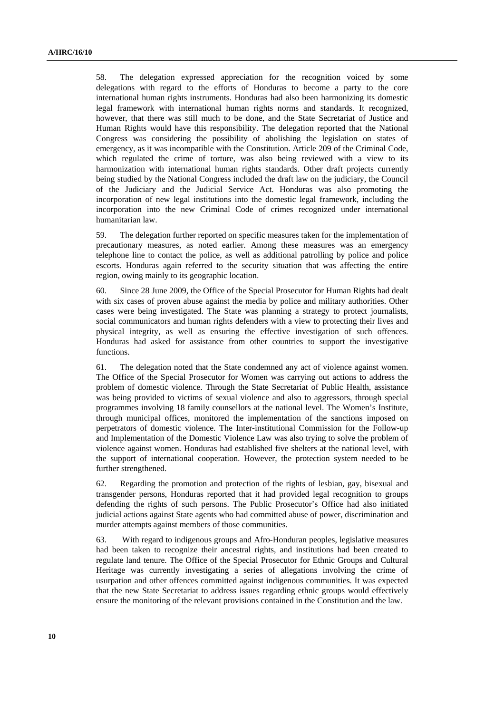58. The delegation expressed appreciation for the recognition voiced by some delegations with regard to the efforts of Honduras to become a party to the core international human rights instruments. Honduras had also been harmonizing its domestic legal framework with international human rights norms and standards. It recognized, however, that there was still much to be done, and the State Secretariat of Justice and Human Rights would have this responsibility. The delegation reported that the National Congress was considering the possibility of abolishing the legislation on states of emergency, as it was incompatible with the Constitution. Article 209 of the Criminal Code, which regulated the crime of torture, was also being reviewed with a view to its harmonization with international human rights standards. Other draft projects currently being studied by the National Congress included the draft law on the judiciary, the Council of the Judiciary and the Judicial Service Act. Honduras was also promoting the incorporation of new legal institutions into the domestic legal framework, including the incorporation into the new Criminal Code of crimes recognized under international humanitarian law.

59. The delegation further reported on specific measures taken for the implementation of precautionary measures, as noted earlier. Among these measures was an emergency telephone line to contact the police, as well as additional patrolling by police and police escorts. Honduras again referred to the security situation that was affecting the entire region, owing mainly to its geographic location.

60. Since 28 June 2009, the Office of the Special Prosecutor for Human Rights had dealt with six cases of proven abuse against the media by police and military authorities. Other cases were being investigated. The State was planning a strategy to protect journalists, social communicators and human rights defenders with a view to protecting their lives and physical integrity, as well as ensuring the effective investigation of such offences. Honduras had asked for assistance from other countries to support the investigative functions.

61. The delegation noted that the State condemned any act of violence against women. The Office of the Special Prosecutor for Women was carrying out actions to address the problem of domestic violence. Through the State Secretariat of Public Health, assistance was being provided to victims of sexual violence and also to aggressors, through special programmes involving 18 family counsellors at the national level. The Women's Institute, through municipal offices, monitored the implementation of the sanctions imposed on perpetrators of domestic violence. The Inter-institutional Commission for the Follow-up and Implementation of the Domestic Violence Law was also trying to solve the problem of violence against women. Honduras had established five shelters at the national level, with the support of international cooperation. However, the protection system needed to be further strengthened.

62. Regarding the promotion and protection of the rights of lesbian, gay, bisexual and transgender persons, Honduras reported that it had provided legal recognition to groups defending the rights of such persons. The Public Prosecutor's Office had also initiated judicial actions against State agents who had committed abuse of power, discrimination and murder attempts against members of those communities.

63. With regard to indigenous groups and Afro-Honduran peoples, legislative measures had been taken to recognize their ancestral rights, and institutions had been created to regulate land tenure. The Office of the Special Prosecutor for Ethnic Groups and Cultural Heritage was currently investigating a series of allegations involving the crime of usurpation and other offences committed against indigenous communities. It was expected that the new State Secretariat to address issues regarding ethnic groups would effectively ensure the monitoring of the relevant provisions contained in the Constitution and the law.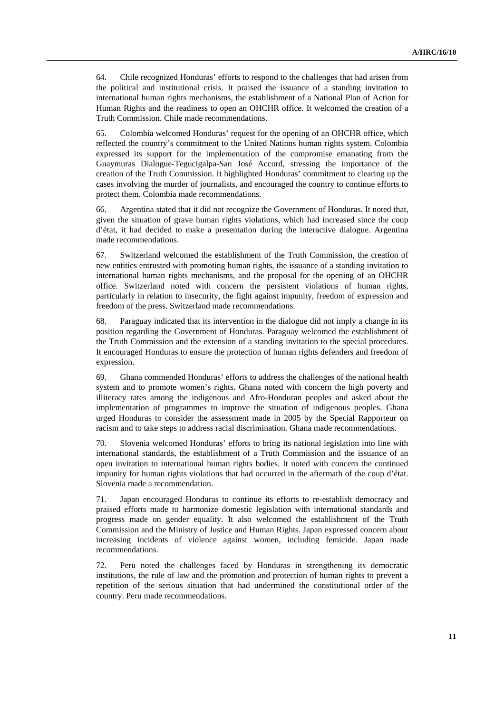64. Chile recognized Honduras' efforts to respond to the challenges that had arisen from the political and institutional crisis. It praised the issuance of a standing invitation to international human rights mechanisms, the establishment of a National Plan of Action for Human Rights and the readiness to open an OHCHR office. It welcomed the creation of a Truth Commission. Chile made recommendations.

65. Colombia welcomed Honduras' request for the opening of an OHCHR office, which reflected the country's commitment to the United Nations human rights system. Colombia expressed its support for the implementation of the compromise emanating from the Guaymuras Dialogue-Tegucigalpa-San José Accord, stressing the importance of the creation of the Truth Commission. It highlighted Honduras' commitment to clearing up the cases involving the murder of journalists, and encouraged the country to continue efforts to protect them. Colombia made recommendations.

66. Argentina stated that it did not recognize the Government of Honduras. It noted that, given the situation of grave human rights violations, which had increased since the coup d'état, it had decided to make a presentation during the interactive dialogue. Argentina made recommendations.

67. Switzerland welcomed the establishment of the Truth Commission, the creation of new entities entrusted with promoting human rights, the issuance of a standing invitation to international human rights mechanisms, and the proposal for the opening of an OHCHR office. Switzerland noted with concern the persistent violations of human rights, particularly in relation to insecurity, the fight against impunity, freedom of expression and freedom of the press. Switzerland made recommendations.

68. Paraguay indicated that its intervention in the dialogue did not imply a change in its position regarding the Government of Honduras. Paraguay welcomed the establishment of the Truth Commission and the extension of a standing invitation to the special procedures. It encouraged Honduras to ensure the protection of human rights defenders and freedom of expression.

69. Ghana commended Honduras' efforts to address the challenges of the national health system and to promote women's rights. Ghana noted with concern the high poverty and illiteracy rates among the indigenous and Afro-Honduran peoples and asked about the implementation of programmes to improve the situation of indigenous peoples. Ghana urged Honduras to consider the assessment made in 2005 by the Special Rapporteur on racism and to take steps to address racial discrimination. Ghana made recommendations.

70. Slovenia welcomed Honduras' efforts to bring its national legislation into line with international standards, the establishment of a Truth Commission and the issuance of an open invitation to international human rights bodies. It noted with concern the continued impunity for human rights violations that had occurred in the aftermath of the coup d'état. Slovenia made a recommendation.

71. Japan encouraged Honduras to continue its efforts to re-establish democracy and praised efforts made to harmonize domestic legislation with international standards and progress made on gender equality. It also welcomed the establishment of the Truth Commission and the Ministry of Justice and Human Rights. Japan expressed concern about increasing incidents of violence against women, including femicide. Japan made recommendations.

72. Peru noted the challenges faced by Honduras in strengthening its democratic institutions, the rule of law and the promotion and protection of human rights to prevent a repetition of the serious situation that had undermined the constitutional order of the country. Peru made recommendations.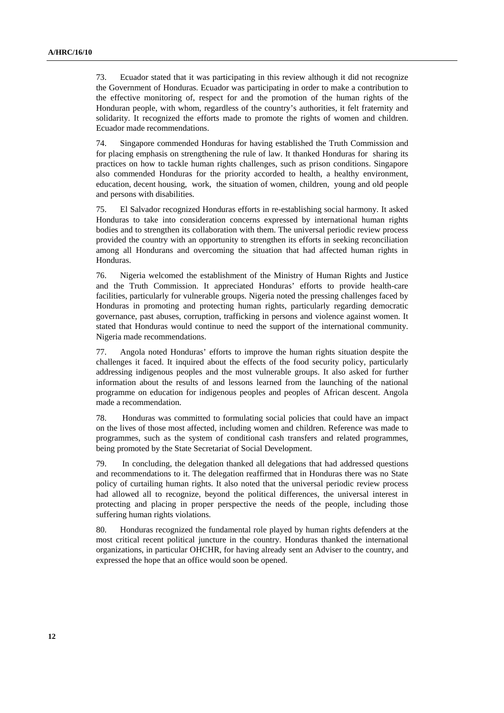73. Ecuador stated that it was participating in this review although it did not recognize the Government of Honduras. Ecuador was participating in order to make a contribution to the effective monitoring of, respect for and the promotion of the human rights of the Honduran people, with whom, regardless of the country's authorities, it felt fraternity and solidarity. It recognized the efforts made to promote the rights of women and children. Ecuador made recommendations.

74. Singapore commended Honduras for having established the Truth Commission and for placing emphasis on strengthening the rule of law. It thanked Honduras for sharing its practices on how to tackle human rights challenges, such as prison conditions. Singapore also commended Honduras for the priority accorded to health, a healthy environment, education, decent housing, work, the situation of women, children, young and old people and persons with disabilities.

75. El Salvador recognized Honduras efforts in re-establishing social harmony. It asked Honduras to take into consideration concerns expressed by international human rights bodies and to strengthen its collaboration with them. The universal periodic review process provided the country with an opportunity to strengthen its efforts in seeking reconciliation among all Hondurans and overcoming the situation that had affected human rights in Honduras.

76. Nigeria welcomed the establishment of the Ministry of Human Rights and Justice and the Truth Commission. It appreciated Honduras' efforts to provide health-care facilities, particularly for vulnerable groups. Nigeria noted the pressing challenges faced by Honduras in promoting and protecting human rights, particularly regarding democratic governance, past abuses, corruption, trafficking in persons and violence against women. It stated that Honduras would continue to need the support of the international community. Nigeria made recommendations.

77. Angola noted Honduras' efforts to improve the human rights situation despite the challenges it faced. It inquired about the effects of the food security policy, particularly addressing indigenous peoples and the most vulnerable groups. It also asked for further information about the results of and lessons learned from the launching of the national programme on education for indigenous peoples and peoples of African descent. Angola made a recommendation.

78. Honduras was committed to formulating social policies that could have an impact on the lives of those most affected, including women and children. Reference was made to programmes, such as the system of conditional cash transfers and related programmes, being promoted by the State Secretariat of Social Development.

79. In concluding, the delegation thanked all delegations that had addressed questions and recommendations to it. The delegation reaffirmed that in Honduras there was no State policy of curtailing human rights. It also noted that the universal periodic review process had allowed all to recognize, beyond the political differences, the universal interest in protecting and placing in proper perspective the needs of the people, including those suffering human rights violations.

80. Honduras recognized the fundamental role played by human rights defenders at the most critical recent political juncture in the country. Honduras thanked the international organizations, in particular OHCHR, for having already sent an Adviser to the country, and expressed the hope that an office would soon be opened.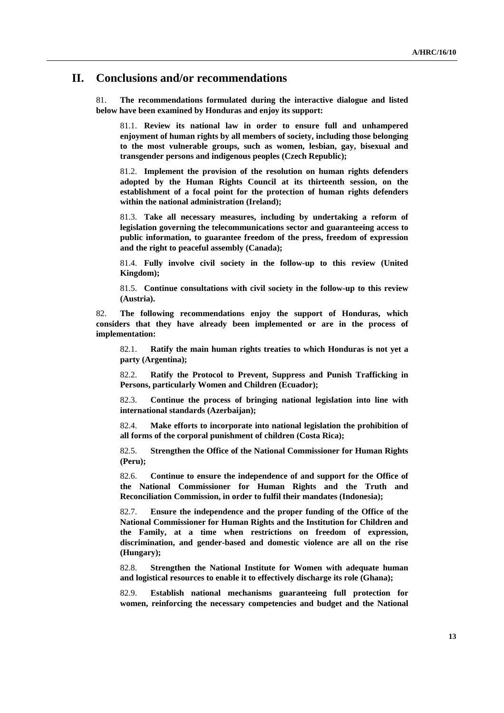## **II. Conclusions and/or recommendations**

81. **The recommendations formulated during the interactive dialogue and listed below have been examined by Honduras and enjoy its support:**

81.1. **Review its national law in order to ensure full and unhampered enjoyment of human rights by all members of society, including those belonging to the most vulnerable groups, such as women, lesbian, gay, bisexual and transgender persons and indigenous peoples (Czech Republic);**

81.2. **Implement the provision of the resolution on human rights defenders adopted by the Human Rights Council at its thirteenth session, on the establishment of a focal point for the protection of human rights defenders within the national administration (Ireland);**

81.3. **Take all necessary measures, including by undertaking a reform of legislation governing the telecommunications sector and guaranteeing access to public information, to guarantee freedom of the press, freedom of expression and the right to peaceful assembly (Canada);**

81.4. **Fully involve civil society in the follow-up to this review (United Kingdom);**

81.5. **Continue consultations with civil society in the follow-up to this review (Austria).**

82. **The following recommendations enjoy the support of Honduras, which considers that they have already been implemented or are in the process of implementation:**

82.1. **Ratify the main human rights treaties to which Honduras is not yet a party (Argentina);**

82.2. **Ratify the Protocol to Prevent, Suppress and Punish Trafficking in Persons, particularly Women and Children (Ecuador);**

82.3. **Continue the process of bringing national legislation into line with international standards (Azerbaijan);**

82.4. **Make efforts to incorporate into national legislation the prohibition of all forms of the corporal punishment of children (Costa Rica);**

82.5. **Strengthen the Office of the National Commissioner for Human Rights (Peru);**

82.6. **Continue to ensure the independence of and support for the Office of the National Commissioner for Human Rights and the Truth and Reconciliation Commission, in order to fulfil their mandates (Indonesia);**

82.7. **Ensure the independence and the proper funding of the Office of the National Commissioner for Human Rights and the Institution for Children and the Family, at a time when restrictions on freedom of expression, discrimination, and gender-based and domestic violence are all on the rise (Hungary);**

82.8. **Strengthen the National Institute for Women with adequate human and logistical resources to enable it to effectively discharge its role (Ghana);**

82.9. **Establish national mechanisms guaranteeing full protection for women, reinforcing the necessary competencies and budget and the National**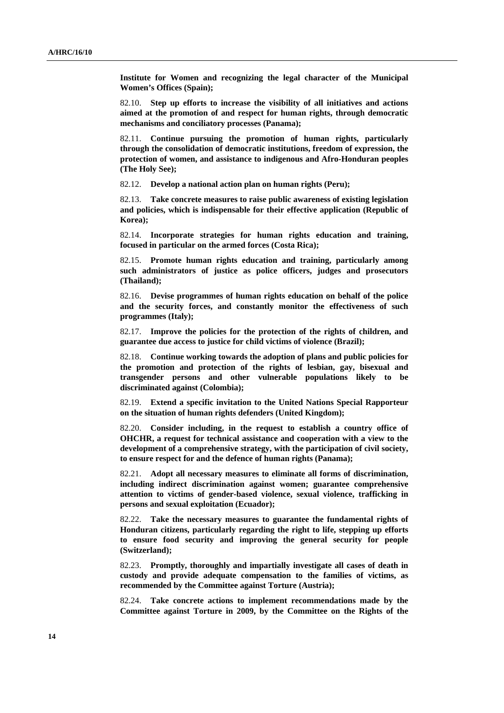**Institute for Women and recognizing the legal character of the Municipal Women's Offices (Spain);**

82.10. **Step up efforts to increase the visibility of all initiatives and actions aimed at the promotion of and respect for human rights, through democratic mechanisms and conciliatory processes (Panama);**

82.11. **Continue pursuing the promotion of human rights, particularly through the consolidation of democratic institutions, freedom of expression, the protection of women, and assistance to indigenous and Afro-Honduran peoples (The Holy See);**

82.12. **Develop a national action plan on human rights (Peru);**

82.13. **Take concrete measures to raise public awareness of existing legislation and policies, which is indispensable for their effective application (Republic of Korea);**

82.14. **Incorporate strategies for human rights education and training, focused in particular on the armed forces (Costa Rica);**

82.15. **Promote human rights education and training, particularly among such administrators of justice as police officers, judges and prosecutors (Thailand);**

82.16. **Devise programmes of human rights education on behalf of the police and the security forces, and constantly monitor the effectiveness of such programmes (Italy);**

82.17. **Improve the policies for the protection of the rights of children, and guarantee due access to justice for child victims of violence (Brazil);**

82.18. **Continue working towards the adoption of plans and public policies for the promotion and protection of the rights of lesbian, gay, bisexual and transgender persons and other vulnerable populations likely to be discriminated against (Colombia);**

82.19. **Extend a specific invitation to the United Nations Special Rapporteur on the situation of human rights defenders (United Kingdom);**

82.20. **Consider including, in the request to establish a country office of OHCHR, a request for technical assistance and cooperation with a view to the development of a comprehensive strategy, with the participation of civil society, to ensure respect for and the defence of human rights (Panama);**

82.21. **Adopt all necessary measures to eliminate all forms of discrimination, including indirect discrimination against women; guarantee comprehensive attention to victims of gender-based violence, sexual violence, trafficking in persons and sexual exploitation (Ecuador);**

82.22. **Take the necessary measures to guarantee the fundamental rights of Honduran citizens, particularly regarding the right to life, stepping up efforts to ensure food security and improving the general security for people (Switzerland);**

82.23. **Promptly, thoroughly and impartially investigate all cases of death in custody and provide adequate compensation to the families of victims, as recommended by the Committee against Torture (Austria);**

82.24. **Take concrete actions to implement recommendations made by the Committee against Torture in 2009, by the Committee on the Rights of the**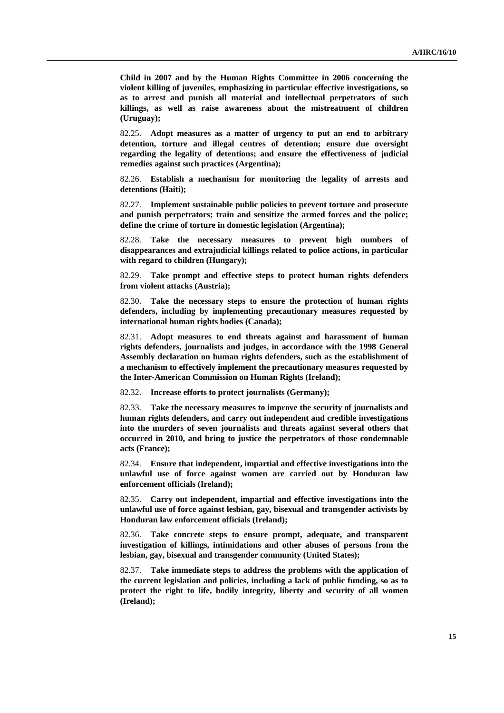**Child in 2007 and by the Human Rights Committee in 2006 concerning the violent killing of juveniles, emphasizing in particular effective investigations, so as to arrest and punish all material and intellectual perpetrators of such killings, as well as raise awareness about the mistreatment of children (Uruguay);**

82.25. **Adopt measures as a matter of urgency to put an end to arbitrary detention, torture and illegal centres of detention; ensure due oversight regarding the legality of detentions; and ensure the effectiveness of judicial remedies against such practices (Argentina);**

82.26. **Establish a mechanism for monitoring the legality of arrests and detentions (Haiti);**

82.27. **Implement sustainable public policies to prevent torture and prosecute and punish perpetrators; train and sensitize the armed forces and the police; define the crime of torture in domestic legislation (Argentina);**

82.28. **Take the necessary measures to prevent high numbers of disappearances and extrajudicial killings related to police actions, in particular with regard to children (Hungary);**

82.29. **Take prompt and effective steps to protect human rights defenders from violent attacks (Austria);**

82.30. **Take the necessary steps to ensure the protection of human rights defenders, including by implementing precautionary measures requested by international human rights bodies (Canada);**

82.31. **Adopt measures to end threats against and harassment of human rights defenders, journalists and judges, in accordance with the 1998 General Assembly declaration on human rights defenders, such as the establishment of a mechanism to effectively implement the precautionary measures requested by the Inter-American Commission on Human Rights (Ireland);**

82.32. **Increase efforts to protect journalists (Germany);**

82.33. **Take the necessary measures to improve the security of journalists and human rights defenders, and carry out independent and credible investigations into the murders of seven journalists and threats against several others that occurred in 2010, and bring to justice the perpetrators of those condemnable acts (France);**

82.34. **Ensure that independent, impartial and effective investigations into the unlawful use of force against women are carried out by Honduran law enforcement officials (Ireland);**

82.35. **Carry out independent, impartial and effective investigations into the unlawful use of force against lesbian, gay, bisexual and transgender activists by Honduran law enforcement officials (Ireland);**

82.36. **Take concrete steps to ensure prompt, adequate, and transparent investigation of killings, intimidations and other abuses of persons from the lesbian, gay, bisexual and transgender community (United States);**

82.37. **Take immediate steps to address the problems with the application of the current legislation and policies, including a lack of public funding, so as to protect the right to life, bodily integrity, liberty and security of all women (Ireland);**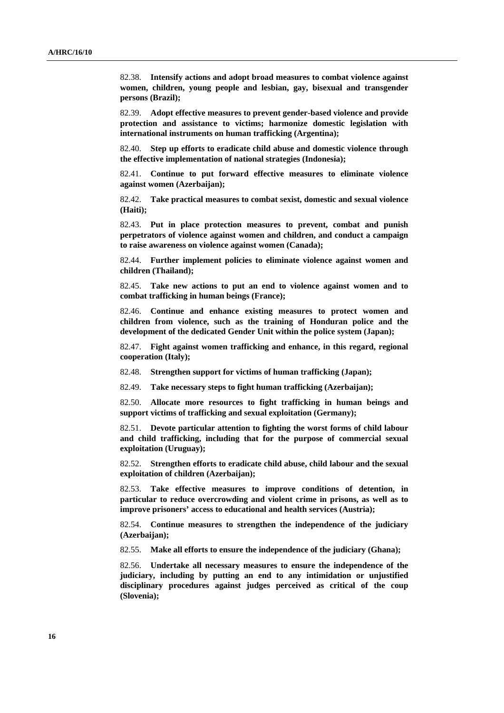82.38. **Intensify actions and adopt broad measures to combat violence against women, children, young people and lesbian, gay, bisexual and transgender persons (Brazil);**

82.39. **Adopt effective measures to prevent gender-based violence and provide protection and assistance to victims; harmonize domestic legislation with international instruments on human trafficking (Argentina);**

82.40. **Step up efforts to eradicate child abuse and domestic violence through the effective implementation of national strategies (Indonesia);**

82.41. **Continue to put forward effective measures to eliminate violence against women (Azerbaijan);**

82.42. **Take practical measures to combat sexist, domestic and sexual violence (Haiti);**

82.43. **Put in place protection measures to prevent, combat and punish perpetrators of violence against women and children, and conduct a campaign to raise awareness on violence against women (Canada);**

82.44. **Further implement policies to eliminate violence against women and children (Thailand);**

82.45. **Take new actions to put an end to violence against women and to combat trafficking in human beings (France);**

82.46. **Continue and enhance existing measures to protect women and children from violence, such as the training of Honduran police and the development of the dedicated Gender Unit within the police system (Japan);**

82.47. **Fight against women trafficking and enhance, in this regard, regional cooperation (Italy);**

82.48. **Strengthen support for victims of human trafficking (Japan);**

82.49. **Take necessary steps to fight human trafficking (Azerbaijan);**

82.50. **Allocate more resources to fight trafficking in human beings and support victims of trafficking and sexual exploitation (Germany);**

82.51. **Devote particular attention to fighting the worst forms of child labour and child trafficking, including that for the purpose of commercial sexual exploitation (Uruguay);**

82.52. **Strengthen efforts to eradicate child abuse, child labour and the sexual exploitation of children (Azerbaijan);**

82.53. **Take effective measures to improve conditions of detention, in particular to reduce overcrowding and violent crime in prisons, as well as to improve prisoners' access to educational and health services (Austria);**

82.54. **Continue measures to strengthen the independence of the judiciary (Azerbaijan);**

82.55. **Make all efforts to ensure the independence of the judiciary (Ghana);**

82.56. **Undertake all necessary measures to ensure the independence of the judiciary, including by putting an end to any intimidation or unjustified disciplinary procedures against judges perceived as critical of the coup (Slovenia);**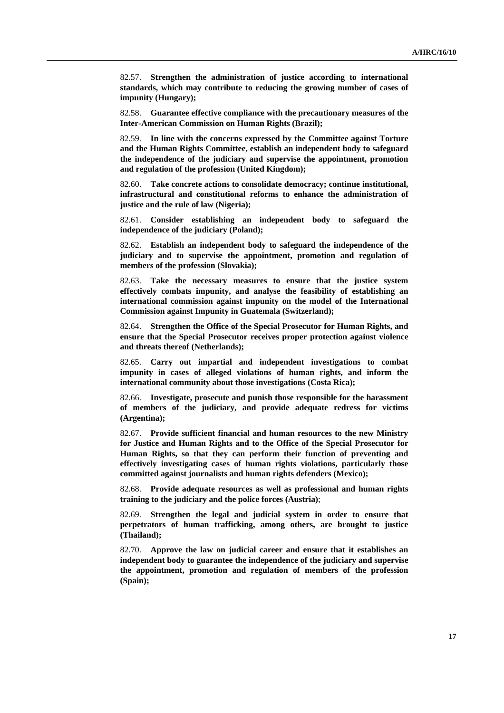82.57. **Strengthen the administration of justice according to international standards, which may contribute to reducing the growing number of cases of impunity (Hungary);**

82.58. **Guarantee effective compliance with the precautionary measures of the Inter-American Commission on Human Rights (Brazil);**

82.59. **In line with the concerns expressed by the Committee against Torture and the Human Rights Committee, establish an independent body to safeguard the independence of the judiciary and supervise the appointment, promotion and regulation of the profession (United Kingdom);**

82.60. **Take concrete actions to consolidate democracy; continue institutional, infrastructural and constitutional reforms to enhance the administration of justice and the rule of law (Nigeria);**

82.61. **Consider establishing an independent body to safeguard the independence of the judiciary (Poland);**

82.62. **Establish an independent body to safeguard the independence of the judiciary and to supervise the appointment, promotion and regulation of members of the profession (Slovakia);**

82.63. **Take the necessary measures to ensure that the justice system effectively combats impunity, and analyse the feasibility of establishing an international commission against impunity on the model of the International Commission against Impunity in Guatemala (Switzerland);**

82.64. **Strengthen the Office of the Special Prosecutor for Human Rights, and ensure that the Special Prosecutor receives proper protection against violence and threats thereof (Netherlands);**

82.65. **Carry out impartial and independent investigations to combat impunity in cases of alleged violations of human rights, and inform the international community about those investigations (Costa Rica);**

82.66. **Investigate, prosecute and punish those responsible for the harassment of members of the judiciary, and provide adequate redress for victims (Argentina);**

82.67. **Provide sufficient financial and human resources to the new Ministry for Justice and Human Rights and to the Office of the Special Prosecutor for Human Rights, so that they can perform their function of preventing and effectively investigating cases of human rights violations, particularly those committed against journalists and human rights defenders (Mexico);**

82.68. **Provide adequate resources as well as professional and human rights training to the judiciary and the police forces (Austria)**;

82.69. **Strengthen the legal and judicial system in order to ensure that perpetrators of human trafficking, among others, are brought to justice (Thailand);**

82.70. **Approve the law on judicial career and ensure that it establishes an independent body to guarantee the independence of the judiciary and supervise the appointment, promotion and regulation of members of the profession (Spain);**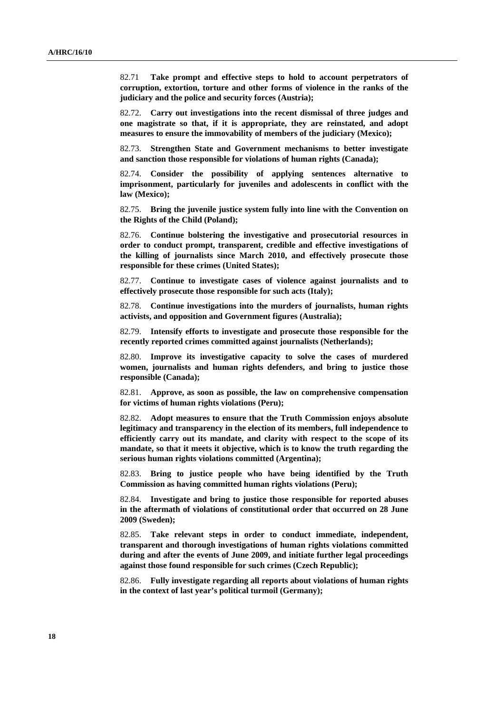82.71 **Take prompt and effective steps to hold to account perpetrators of corruption, extortion, torture and other forms of violence in the ranks of the judiciary and the police and security forces (Austria);**

82.72. **Carry out investigations into the recent dismissal of three judges and one magistrate so that, if it is appropriate, they are reinstated, and adopt measures to ensure the immovability of members of the judiciary (Mexico);**

82.73. **Strengthen State and Government mechanisms to better investigate and sanction those responsible for violations of human rights (Canada);**

82.74. **Consider the possibility of applying sentences alternative to imprisonment, particularly for juveniles and adolescents in conflict with the law (Mexico);**

82.75. **Bring the juvenile justice system fully into line with the Convention on the Rights of the Child (Poland);**

82.76. **Continue bolstering the investigative and prosecutorial resources in order to conduct prompt, transparent, credible and effective investigations of the killing of journalists since March 2010, and effectively prosecute those responsible for these crimes (United States);**

82.77. **Continue to investigate cases of violence against journalists and to effectively prosecute those responsible for such acts (Italy);**

82.78. **Continue investigations into the murders of journalists, human rights activists, and opposition and Government figures (Australia);**

82.79. **Intensify efforts to investigate and prosecute those responsible for the recently reported crimes committed against journalists (Netherlands);**

82.80. **Improve its investigative capacity to solve the cases of murdered women, journalists and human rights defenders, and bring to justice those responsible (Canada);**

82.81. **Approve, as soon as possible, the law on comprehensive compensation for victims of human rights violations (Peru);**

82.82. **Adopt measures to ensure that the Truth Commission enjoys absolute legitimacy and transparency in the election of its members, full independence to efficiently carry out its mandate, and clarity with respect to the scope of its mandate, so that it meets it objective, which is to know the truth regarding the serious human rights violations committed (Argentina);**

82.83. **Bring to justice people who have being identified by the Truth Commission as having committed human rights violations (Peru);**

82.84. **Investigate and bring to justice those responsible for reported abuses in the aftermath of violations of constitutional order that occurred on 28 June 2009 (Sweden);**

82.85. **Take relevant steps in order to conduct immediate, independent, transparent and thorough investigations of human rights violations committed during and after the events of June 2009, and initiate further legal proceedings against those found responsible for such crimes (Czech Republic);**

82.86. **Fully investigate regarding all reports about violations of human rights in the context of last year's political turmoil (Germany);**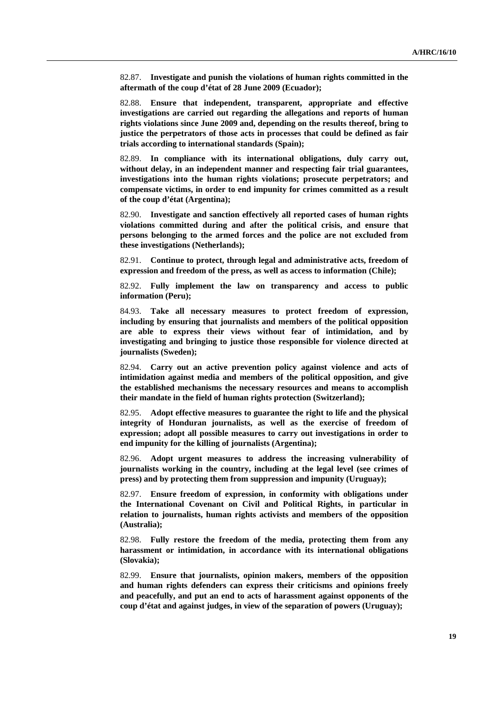82.87. **Investigate and punish the violations of human rights committed in the aftermath of the coup d'état of 28 June 2009 (Ecuador);**

82.88. **Ensure that independent, transparent, appropriate and effective investigations are carried out regarding the allegations and reports of human rights violations since June 2009 and, depending on the results thereof, bring to justice the perpetrators of those acts in processes that could be defined as fair trials according to international standards (Spain);**

82.89. **In compliance with its international obligations, duly carry out, without delay, in an independent manner and respecting fair trial guarantees, investigations into the human rights violations; prosecute perpetrators; and compensate victims, in order to end impunity for crimes committed as a result of the coup d'état (Argentina);**

82.90. **Investigate and sanction effectively all reported cases of human rights violations committed during and after the political crisis, and ensure that persons belonging to the armed forces and the police are not excluded from these investigations (Netherlands);**

82.91. **Continue to protect, through legal and administrative acts, freedom of expression and freedom of the press, as well as access to information (Chile);**

82.92. **Fully implement the law on transparency and access to public information (Peru);**

84.93. **Take all necessary measures to protect freedom of expression, including by ensuring that journalists and members of the political opposition are able to express their views without fear of intimidation, and by investigating and bringing to justice those responsible for violence directed at journalists (Sweden);**

82.94. **Carry out an active prevention policy against violence and acts of intimidation against media and members of the political opposition, and give the established mechanisms the necessary resources and means to accomplish their mandate in the field of human rights protection (Switzerland);**

82.95. **Adopt effective measures to guarantee the right to life and the physical integrity of Honduran journalists, as well as the exercise of freedom of expression; adopt all possible measures to carry out investigations in order to end impunity for the killing of journalists (Argentina);**

82.96. **Adopt urgent measures to address the increasing vulnerability of journalists working in the country, including at the legal level (see crimes of press) and by protecting them from suppression and impunity (Uruguay);**

82.97. **Ensure freedom of expression, in conformity with obligations under the International Covenant on Civil and Political Rights, in particular in relation to journalists, human rights activists and members of the opposition (Australia);**

82.98. **Fully restore the freedom of the media, protecting them from any harassment or intimidation, in accordance with its international obligations (Slovakia);**

82.99. **Ensure that journalists, opinion makers, members of the opposition and human rights defenders can express their criticisms and opinions freely and peacefully, and put an end to acts of harassment against opponents of the coup d'état and against judges, in view of the separation of powers (Uruguay);**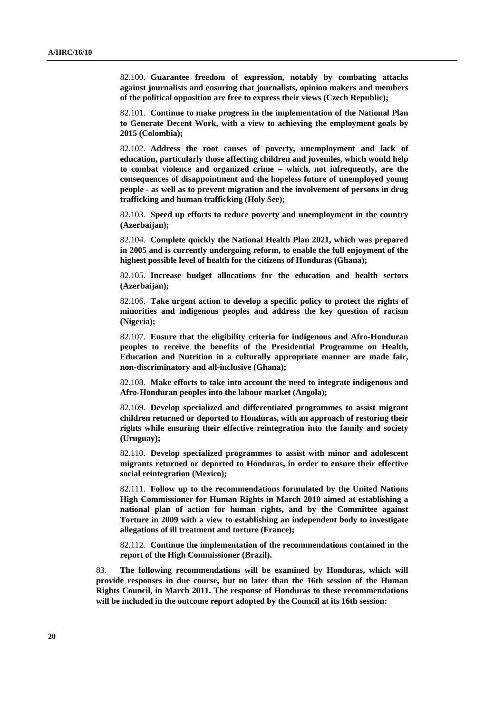82.100. **Guarantee freedom of expression, notably by combating attacks against journalists and ensuring that journalists, opinion makers and members of the political opposition are free to express their views (Czech Republic);**

82.101. **Continue to make progress in the implementation of the National Plan to Generate Decent Work, with a view to achieving the employment goals by 2015 (Colombia);**

82.102. **Address the root causes of poverty, unemployment and lack of education, particularly those affecting children and juveniles, which would help to combat violence and organized crime – which, not infrequently, are the consequences of disappointment and the hopeless future of unemployed young people - as well as to prevent migration and the involvement of persons in drug trafficking and human trafficking (Holy See);**

82.103. **Speed up efforts to reduce poverty and unemployment in the country (Azerbaijan);**

82.104. **Complete quickly the National Health Plan 2021, which was prepared in 2005 and is currently undergoing reform, to enable the full enjoyment of the highest possible level of health for the citizens of Honduras (Ghana);**

82.105. **Increase budget allocations for the education and health sectors (Azerbaijan);**

82.106. **Take urgent action to develop a specific policy to protect the rights of minorities and indigenous peoples and address the key question of racism (Nigeria);**

82.107. **Ensure that the eligibility criteria for indigenous and Afro-Honduran peoples to receive the benefits of the Presidential Programme on Health, Education and Nutrition in a culturally appropriate manner are made fair, non-discriminatory and all-inclusive (Ghana);**

82.108. **Make efforts to take into account the need to integrate indigenous and Afro-Honduran peoples into the labour market (Angola);**

82.109. **Develop specialized and differentiated programmes to assist migrant children returned or deported to Honduras, with an approach of restoring their rights while ensuring their effective reintegration into the family and society (Uruguay);**

82.110. **Develop specialized programmes to assist with minor and adolescent migrants returned or deported to Honduras, in order to ensure their effective social reintegration (Mexico);**

82.111. **Follow up to the recommendations formulated by the United Nations High Commissioner for Human Rights in March 2010 aimed at establishing a national plan of action for human rights, and by the Committee against Torture in 2009 with a view to establishing an independent body to investigate allegations of ill treatment and torture (France);**

82.112. **Continue the implementation of the recommendations contained in the report of the High Commissioner (Brazil).**

83. **The following recommendations will be examined by Honduras, which will provide responses in due course, but no later than the 16th session of the Human Rights Council, in March 2011. The response of Honduras to these recommendations will be included in the outcome report adopted by the Council at its 16th session:**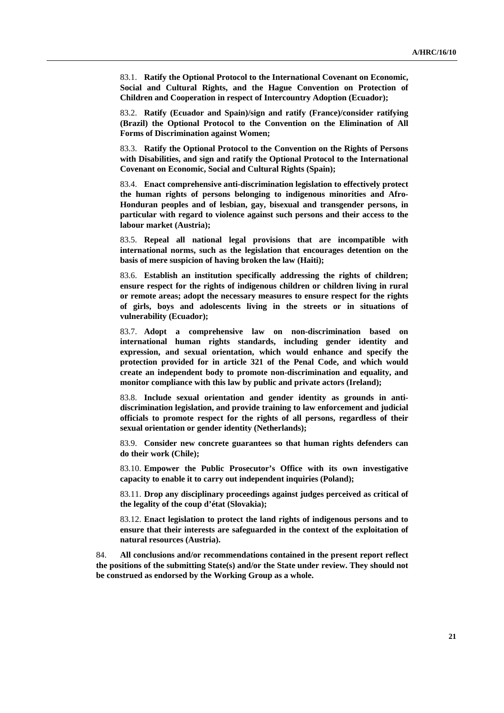83.1. **Ratify the Optional Protocol to the International Covenant on Economic, Social and Cultural Rights, and the Hague Convention on Protection of Children and Cooperation in respect of Intercountry Adoption (Ecuador);**

83.2. **Ratify (Ecuador and Spain)/sign and ratify (France)/consider ratifying (Brazil) the Optional Protocol to the Convention on the Elimination of All Forms of Discrimination against Women;**

83.3. **Ratify the Optional Protocol to the Convention on the Rights of Persons with Disabilities, and sign and ratify the Optional Protocol to the International Covenant on Economic, Social and Cultural Rights (Spain);**

83.4. **Enact comprehensive anti-discrimination legislation to effectively protect the human rights of persons belonging to indigenous minorities and Afro-Honduran peoples and of lesbian, gay, bisexual and transgender persons, in particular with regard to violence against such persons and their access to the labour market (Austria);**

83.5. **Repeal all national legal provisions that are incompatible with international norms, such as the legislation that encourages detention on the basis of mere suspicion of having broken the law (Haiti);**

83.6. **Establish an institution specifically addressing the rights of children; ensure respect for the rights of indigenous children or children living in rural or remote areas; adopt the necessary measures to ensure respect for the rights of girls, boys and adolescents living in the streets or in situations of vulnerability (Ecuador);**

83.7. **Adopt a comprehensive law on non-discrimination based on international human rights standards, including gender identity and expression, and sexual orientation, which would enhance and specify the protection provided for in article 321 of the Penal Code, and which would create an independent body to promote non-discrimination and equality, and monitor compliance with this law by public and private actors (Ireland);**

83.8. **Include sexual orientation and gender identity as grounds in antidiscrimination legislation, and provide training to law enforcement and judicial officials to promote respect for the rights of all persons, regardless of their sexual orientation or gender identity (Netherlands);**

83.9. **Consider new concrete guarantees so that human rights defenders can do their work (Chile);**

83.10. **Empower the Public Prosecutor's Office with its own investigative capacity to enable it to carry out independent inquiries (Poland);**

83.11. **Drop any disciplinary proceedings against judges perceived as critical of the legality of the coup d'état (Slovakia);**

83.12. **Enact legislation to protect the land rights of indigenous persons and to ensure that their interests are safeguarded in the context of the exploitation of natural resources (Austria).**

84. **All conclusions and/or recommendations contained in the present report reflect the positions of the submitting State(s) and/or the State under review. They should not be construed as endorsed by the Working Group as a whole.**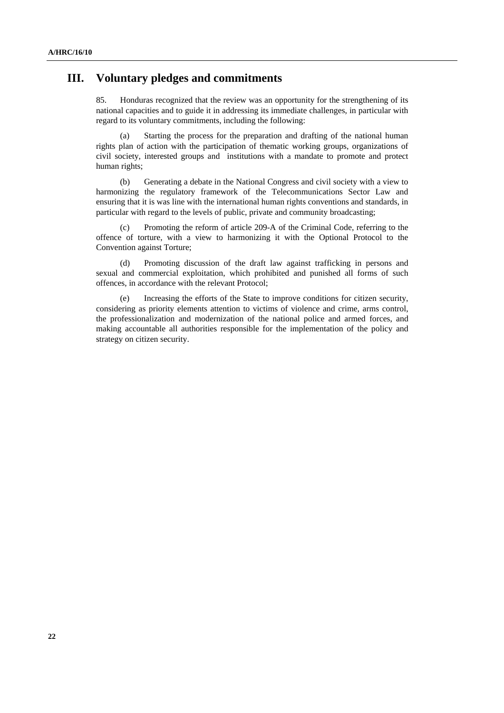## **III. Voluntary pledges and commitments**

85. Honduras recognized that the review was an opportunity for the strengthening of its national capacities and to guide it in addressing its immediate challenges, in particular with regard to its voluntary commitments, including the following:

(a) Starting the process for the preparation and drafting of the national human rights plan of action with the participation of thematic working groups, organizations of civil society, interested groups and institutions with a mandate to promote and protect human rights;

(b) Generating a debate in the National Congress and civil society with a view to harmonizing the regulatory framework of the Telecommunications Sector Law and ensuring that it is was line with the international human rights conventions and standards, in particular with regard to the levels of public, private and community broadcasting;

(c) Promoting the reform of article 209-A of the Criminal Code, referring to the offence of torture, with a view to harmonizing it with the Optional Protocol to the Convention against Torture;

(d) Promoting discussion of the draft law against trafficking in persons and sexual and commercial exploitation, which prohibited and punished all forms of such offences, in accordance with the relevant Protocol;

(e) Increasing the efforts of the State to improve conditions for citizen security, considering as priority elements attention to victims of violence and crime, arms control, the professionalization and modernization of the national police and armed forces, and making accountable all authorities responsible for the implementation of the policy and strategy on citizen security.